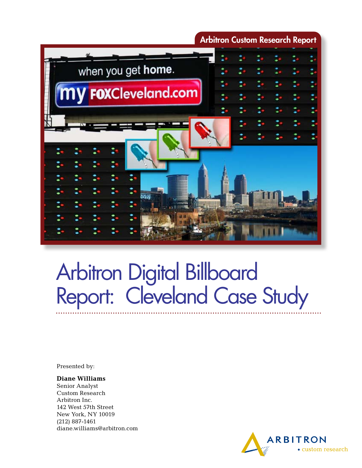

# Arbitron Digital Billboard Report: Cleveland Case Study

Presented by:

#### **Diane Williams**

Senior Analyst Custom Research Arbitron Inc. 142 West 57th Street New York, NY 10019 (212) 887-1461 diane.williams@arbitron.com

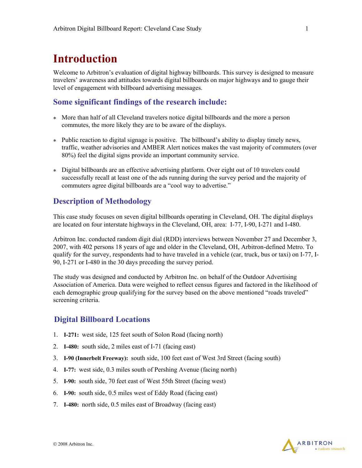# **Introduction**

Welcome to Arbitron's evaluation of digital highway billboards. This survey is designed to measure travelers' awareness and attitudes towards digital billboards on major highways and to gauge their level of engagement with billboard advertising messages.

### **Some significant findings of the research include:**

- \* More than half of all Cleveland travelers notice digital billboards and the more a person commutes, the more likely they are to be aware of the displays.
- \* Public reaction to digital signage is positive. The billboard's ability to display timely news, traffic, weather advisories and AMBER Alert notices makes the vast majority of commuters (over 80%) feel the digital signs provide an important community service.
- \* Digital billboards are an effective advertising platform. Over eight out of 10 travelers could successfully recall at least one of the ads running during the survey period and the majority of commuters agree digital billboards are a "cool way to advertise."

### **Description of Methodology**

This case study focuses on seven digital billboards operating in Cleveland, OH. The digital displays are located on four interstate highways in the Cleveland, OH, area: I-77, I-90, I-271 and I-480.

Arbitron Inc. conducted random digit dial (RDD) interviews between November 27 and December 3, 2007, with 402 persons 18 years of age and older in the Cleveland, OH, Arbitron-defined Metro. To qualify for the survey, respondents had to have traveled in a vehicle (car, truck, bus or taxi) on I-77, I-90, I-271 or I-480 in the 30 days preceding the survey period.

The study was designed and conducted by Arbitron Inc. on behalf of the Outdoor Advertising Association of America. Data were weighed to reflect census figures and factored in the likelihood of each demographic group qualifying for the survey based on the above mentioned "roads traveled" screening criteria.

### **Digital Billboard Locations**

- 1. **I-271:** west side, 125 feet south of Solon Road (facing north)
- 2. **I-480:** south side, 2 miles east of I-71 (facing east)
- 3. **I-90 (Innerbelt Freeway):** south side, 100 feet east of West 3rd Street (facing south)
- 4. **I-77:** west side, 0.3 miles south of Pershing Avenue (facing north)
- 5. **I-90:** south side, 70 feet east of West 55th Street (facing west)
- 6. **I-90:** south side, 0.5 miles west of Eddy Road (facing east)
- 7. **I-480:** north side, 0.5 miles east of Broadway (facing east)

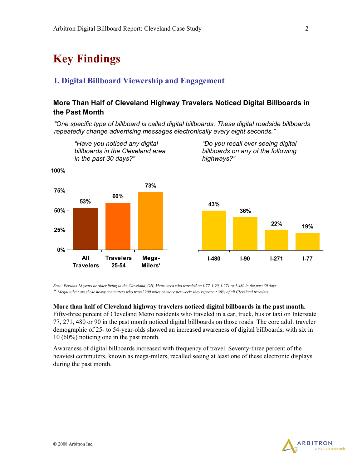# **Key Findings**

### **I. Digital Billboard Viewership and Engagement**

### **More Than Half of Cleveland Highway Travelers Noticed Digital Billboards in the Past Month**

*"One specific type of billboard is called digital billboards. These digital roadside billboards repeatedly change advertising messages electronically every eight seconds."* 



*Base: Persons 18 years or older living in the Cleveland, OH, Metro area who traveled on I-77, I-90, I-271 or I-480 in the past 30 days. \* Mega-milers are those heavy commuters who travel 200 miles or more per week; they represent 30% of all Cleveland travelers.* 

#### **More than half of Cleveland highway travelers noticed digital billboards in the past month.**

Fifty-three percent of Cleveland Metro residents who traveled in a car, truck, bus or taxi on Interstate 77, 271, 480 or 90 in the past month noticed digital billboards on those roads. The core adult traveler demographic of 25- to 54-year-olds showed an increased awareness of digital billboards, with six in 10 (60%) noticing one in the past month.

Awareness of digital billboards increased with frequency of travel. Seventy-three percent of the heaviest commuters, known as mega-milers, recalled seeing at least one of these electronic displays during the past month.

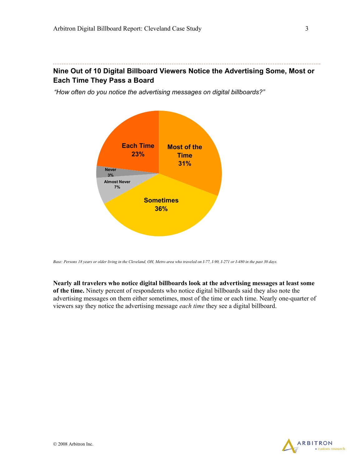# **Nine Out of 10 Digital Billboard Viewers Notice the Advertising Some, Most or Each Time They Pass a Board**

*"How often do you notice the advertising messages on digital billboards?"* 



*Base: Persons 18 years or older living in the Cleveland, OH, Metro area who traveled on I-77, I-90, I-271 or I-480 in the past 30 days.* 

**Nearly all travelers who notice digital billboards look at the advertising messages at least some of the time.** Ninety percent of respondents who notice digital billboards said they also note the advertising messages on them either sometimes, most of the time or each time. Nearly one-quarter of viewers say they notice the advertising message *each time* they see a digital billboard.

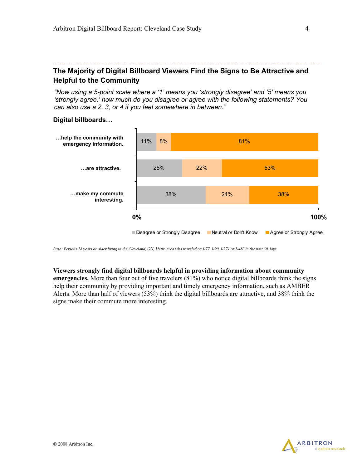# **The Majority of Digital Billboard Viewers Find the Signs to Be Attractive and Helpful to the Community**

*"Now using a 5-point scale where a '1' means you 'strongly disagree' and '5' means you 'strongly agree,' how much do you disagree or agree with the following statements? You can also use a 2, 3, or 4 if you feel somewhere in between."* 

#### **Digital billboards…**



*Base: Persons 18 years or older living in the Cleveland, OH, Metro area who traveled on I-77, I-90, I-271 or I-480 in the past 30 days.* 

#### **Viewers strongly find digital billboards helpful in providing information about community**

**emergencies.** More than four out of five travelers (81%) who notice digital billboards think the signs help their community by providing important and timely emergency information, such as AMBER Alerts. More than half of viewers (53%) think the digital billboards are attractive, and 38% think the signs make their commute more interesting.

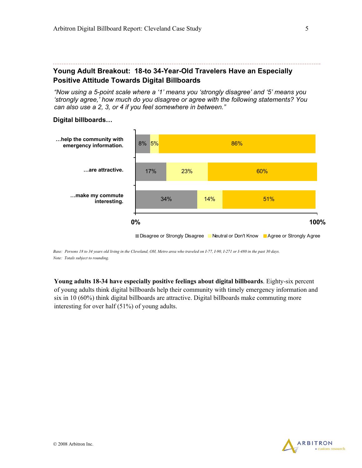# **Young Adult Breakout: 18-to 34-Year-Old Travelers Have an Especially Positive Attitude Towards Digital Billboards**

*"Now using a 5-point scale where a '1' means you 'strongly disagree' and '5' means you 'strongly agree,' how much do you disagree or agree with the following statements? You can also use a 2, 3, or 4 if you feel somewhere in between."* 

#### **Digital billboards…**



*Base: Persons 18 to 34 years old living in the Cleveland, OH, Metro area who traveled on I-77, I-90, I-271 or I-480 in the past 30 days. Note: Totals subject to rounding.* 

**Young adults 18-34 have especially positive feelings about digital billboards**. Eighty-six percent of young adults think digital billboards help their community with timely emergency information and six in 10 (60%) think digital billboards are attractive. Digital billboards make commuting more interesting for over half (51%) of young adults.

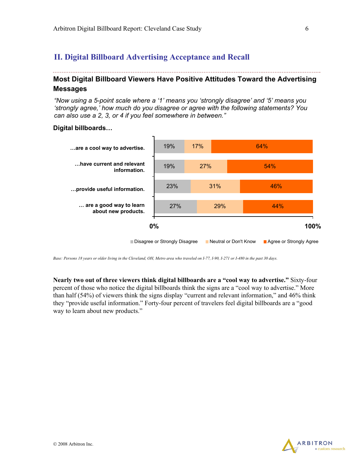# **II. Digital Billboard Advertising Acceptance and Recall**

# **Most Digital Billboard Viewers Have Positive Attitudes Toward the Advertising Messages**

*"Now using a 5-point scale where a '1' means you 'strongly disagree' and '5' means you 'strongly agree,' how much do you disagree or agree with the following statements? You can also use a 2, 3, or 4 if you feel somewhere in between."* 

#### **Digital billboards…**



*Base: Persons 18 years or older living in the Cleveland, OH, Metro area who traveled on I-77, I-90, I-271 or I-480 in the past 30 days.* 

**Nearly two out of three viewers think digital billboards are a "cool way to advertise."** Sixty-four percent of those who notice the digital billboards think the signs are a "cool way to advertise." More than half (54%) of viewers think the signs display "current and relevant information," and 46% think they "provide useful information." Forty-four percent of travelers feel digital billboards are a "good way to learn about new products."

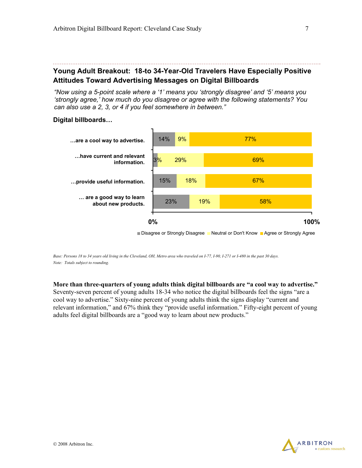# **Young Adult Breakout: 18-to 34-Year-Old Travelers Have Especially Positive Attitudes Toward Advertising Messages on Digital Billboards**

*"Now using a 5-point scale where a '1' means you 'strongly disagree' and '5' means you 'strongly agree,' how much do you disagree or agree with the following statements? You can also use a 2, 3, or 4 if you feel somewhere in between."* 

#### **Digital billboards…**



*Base: Persons 18 to 34 years old living in the Cleveland, OH, Metro area who traveled on I-77, I-90, I-271 or I-480 in the past 30 days. Note: Totals subject to rounding.* 

**More than three-quarters of young adults think digital billboards are "a cool way to advertise."** Seventy-seven percent of young adults 18-34 who notice the digital billboards feel the signs "are a cool way to advertise." Sixty-nine percent of young adults think the signs display "current and relevant information," and 67% think they "provide useful information." Fifty-eight percent of young adults feel digital billboards are a "good way to learn about new products."

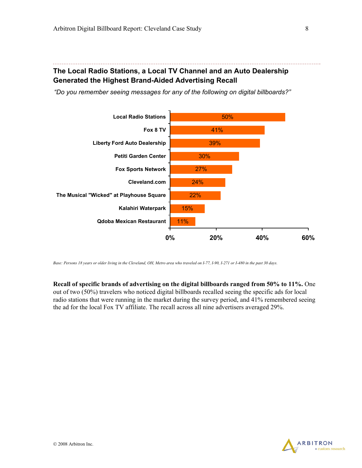# **The Local Radio Stations, a Local TV Channel and an Auto Dealership Generated the Highest Brand-Aided Advertising Recall**

*"Do you remember seeing messages for any of the following on digital billboards?"* 



*Base: Persons 18 years or older living in the Cleveland, OH, Metro area who traveled on I-77, I-90, I-271 or I-480 in the past 30 days.* 

**Recall of specific brands of advertising on the digital billboards ranged from 50% to 11%.** One out of two (50%) travelers who noticed digital billboards recalled seeing the specific ads for local radio stations that were running in the market during the survey period, and 41% remembered seeing the ad for the local Fox TV affiliate. The recall across all nine advertisers averaged 29%.

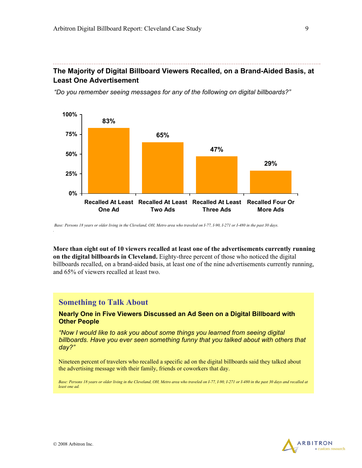# **The Majority of Digital Billboard Viewers Recalled, on a Brand-Aided Basis, at Least One Advertisement**

*"Do you remember seeing messages for any of the following on digital billboards?"* 



 *Base: Persons 18 years or older living in the Cleveland, OH, Metro area who traveled on I-77, I-90, I-271 or I-480 in the past 30 days.* 

**More than eight out of 10 viewers recalled at least one of the advertisements currently running on the digital billboards in Cleveland.** Eighty-three percent of those who noticed the digital billboards recalled, on a brand-aided basis, at least one of the nine advertisements currently running, and 65% of viewers recalled at least two.

### **Something to Talk About**

#### **Nearly One in Five Viewers Discussed an Ad Seen on a Digital Billboard with Other People**

*"Now I would like to ask you about some things you learned from seeing digital billboards. Have you ever seen something funny that you talked about with others that day?"* 

Nineteen percent of travelers who recalled a specific ad on the digital billboards said they talked about the advertising message with their family, friends or coworkers that day.

*Base: Persons 18 years or older living in the Cleveland, OH, Metro area who traveled on I-77, I-90, I-271 or I-480 in the past 30 days and recalled at least one ad.* 



*.*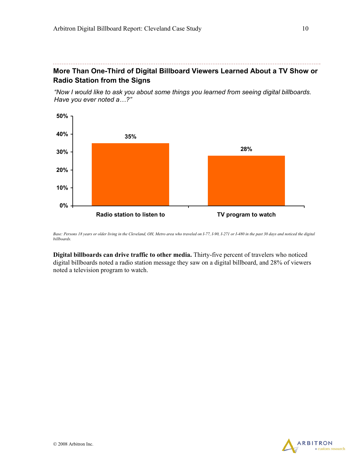# **More Than One-Third of Digital Billboard Viewers Learned About a TV Show or Radio Station from the Signs**

*"Now I would like to ask you about some things you learned from seeing digital billboards. Have you ever noted a…?"* 



*Base: Persons 18 years or older living in the Cleveland, OH, Metro area who traveled on I-77, I-90, I-271 or I-480 in the past 30 days and noticed the digital billboards.* 

**Digital billboards can drive traffic to other media.** Thirty-five percent of travelers who noticed digital billboards noted a radio station message they saw on a digital billboard, and 28% of viewers noted a television program to watch.

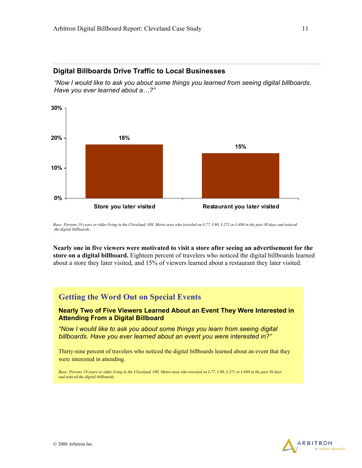#### **Digital Billboards Drive Traffic to Local Businesses**

*"Now I would like to ask you about some things you learned from seeing digital billboards. Have you ever learned about a…?"* 



Base: Persons 18 years or older living in the Cleveland, OH, Metro area who traveled on I-77, I-90, I-271 or I-480 in the past 30 days and noticed  *the digital billboards. .* 

**Nearly one in five viewers were motivated to visit a store after seeing an advertisement for the store on a digital billboard.** Eighteen percent of travelers who noticed the digital billboards learned about a store they later visited, and 15% of viewers learned about a restaurant they later visited.

## **Getting the Word Out on Special Events**

**Nearly Two of Five Viewers Learned About an Event They Were Interested in Attending From a Digital Billboard** 

*"Now I would like to ask you about some things you learn from seeing digital billboards. Have you ever learned about an event you were interested in?"* 

Thirty-nine percent of travelers who noticed the digital billboards learned about an event that they were interested in attending.

*Base: Persons 18 years or older living in the Cleveland, OH, Metro area who traveled on I-77, I-90, I-271 or I-480 in the past 30 days and noticed the digital billboards.* 

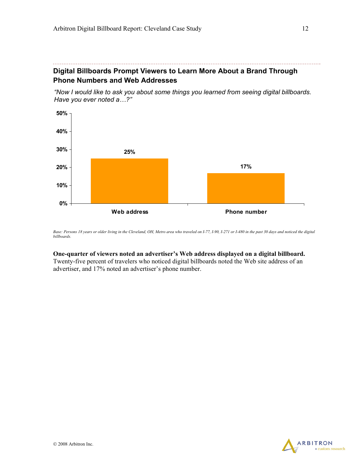# **Digital Billboards Prompt Viewers to Learn More About a Brand Through Phone Numbers and Web Addresses**

*"Now I would like to ask you about some things you learned from seeing digital billboards. Have you ever noted a…?"* 



*Base: Persons 18 years or older living in the Cleveland, OH, Metro area who traveled on I-77, I-90, I-271 or I-480 in the past 30 days and noticed the digital billboards.* 

#### **One-quarter of viewers noted an advertiser's Web address displayed on a digital billboard.**

Twenty-five percent of travelers who noticed digital billboards noted the Web site address of an advertiser, and 17% noted an advertiser's phone number.

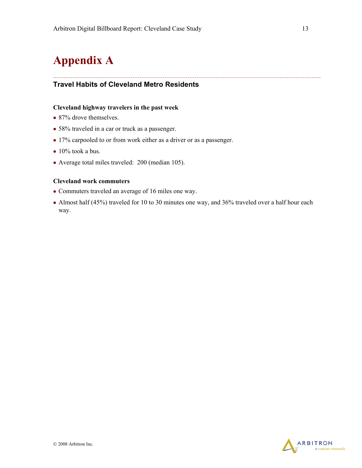# **Appendix A**

### **Travel Habits of Cleveland Metro Residents**

#### **Cleveland highway travelers in the past week**

- 87% drove themselves.
- 58% traveled in a car or truck as a passenger.
- 17% carpooled to or from work either as a driver or as a passenger.
- $\bullet$  10% took a bus.
- Average total miles traveled: 200 (median 105).

#### **Cleveland work commuters**

- Commuters traveled an average of 16 miles one way.
- Almost half (45%) traveled for 10 to 30 minutes one way, and 36% traveled over a half hour each way.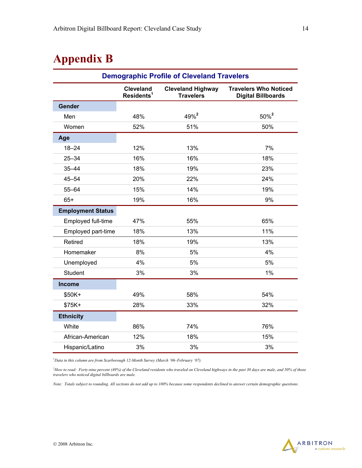# **Appendix B**

| <b>Demographic Profile of Cleveland Travelers</b> |                                            |                                              |                                                           |  |  |  |
|---------------------------------------------------|--------------------------------------------|----------------------------------------------|-----------------------------------------------------------|--|--|--|
|                                                   | <b>Cleveland</b><br>Residents <sup>1</sup> | <b>Cleveland Highway</b><br><b>Travelers</b> | <b>Travelers Who Noticed</b><br><b>Digital Billboards</b> |  |  |  |
| Gender                                            |                                            |                                              |                                                           |  |  |  |
| Men                                               | 48%                                        | 49% <sup>2</sup>                             | 50% <sup>2</sup>                                          |  |  |  |
| Women                                             | 52%                                        | 51%                                          | 50%                                                       |  |  |  |
| Age                                               |                                            |                                              |                                                           |  |  |  |
| $18 - 24$                                         | 12%                                        | 13%                                          | 7%                                                        |  |  |  |
| $25 - 34$                                         | 16%                                        | 16%                                          | 18%                                                       |  |  |  |
| $35 - 44$                                         | 18%                                        | 19%                                          | 23%                                                       |  |  |  |
| $45 - 54$                                         | 20%                                        | 22%                                          | 24%                                                       |  |  |  |
| $55 - 64$                                         | 15%                                        | 14%                                          | 19%                                                       |  |  |  |
| $65+$                                             | 19%                                        | 16%                                          | 9%                                                        |  |  |  |
| <b>Employment Status</b>                          |                                            |                                              |                                                           |  |  |  |
| Employed full-time                                | 47%                                        | 55%                                          | 65%                                                       |  |  |  |
| Employed part-time                                | 18%                                        | 13%                                          | 11%                                                       |  |  |  |
| Retired                                           | 18%                                        | 19%                                          | 13%                                                       |  |  |  |
| Homemaker                                         | 8%                                         | 5%                                           | 4%                                                        |  |  |  |
| Unemployed                                        | 4%                                         | 5%                                           | 5%                                                        |  |  |  |
| <b>Student</b>                                    | 3%                                         | 3%                                           | 1%                                                        |  |  |  |
| <b>Income</b>                                     |                                            |                                              |                                                           |  |  |  |
| \$50K+                                            | 49%                                        | 58%                                          | 54%                                                       |  |  |  |
| \$75K+                                            | 28%                                        | 33%                                          | 32%                                                       |  |  |  |
| <b>Ethnicity</b>                                  |                                            |                                              |                                                           |  |  |  |
| White                                             | 86%                                        | 74%                                          | 76%                                                       |  |  |  |
| African-American                                  | 12%                                        | 18%                                          | 15%                                                       |  |  |  |
| Hispanic/Latino                                   | 3%                                         | 3%                                           | 3%                                                        |  |  |  |

*1 Data in this column are from Scarborough 12-Month Survey (March '06–February '07).* 

<sup>2</sup>How to read: Forty-nine percent (49%) of the Cleveland residents who traveled on Cleveland highways in the past 30 days are male, and 50% of those *travelers who noticed digital billboards are male.* 

*Note: Totals subject to rounding. All sections do not add up to 100% because some respondents declined to answer certain demographic questions.* 

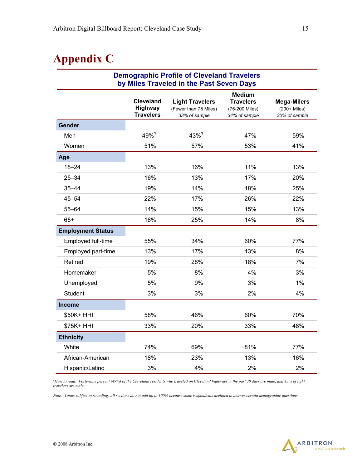# **Appendix C**

| <b>Demographic Profile of Cleveland Travelers</b><br>by Miles Traveled in the Past Seven Days |                                                 |                                                                  |                                                                      |                                                     |  |  |
|-----------------------------------------------------------------------------------------------|-------------------------------------------------|------------------------------------------------------------------|----------------------------------------------------------------------|-----------------------------------------------------|--|--|
|                                                                                               | <b>Cleveland</b><br>Highway<br><b>Travelers</b> | <b>Light Travelers</b><br>(Fewer than 75 Miles)<br>33% of sample | <b>Medium</b><br><b>Travelers</b><br>(75-200 Miles)<br>34% of sample | <b>Mega-Milers</b><br>(200+ Miles)<br>30% of sample |  |  |
| Gender                                                                                        |                                                 |                                                                  |                                                                      |                                                     |  |  |
| Men                                                                                           | 49%1                                            | 43%1                                                             | 47%                                                                  | 59%                                                 |  |  |
| Women                                                                                         | 51%                                             | 57%                                                              | 53%                                                                  | 41%                                                 |  |  |
| Age                                                                                           |                                                 |                                                                  |                                                                      |                                                     |  |  |
| $18 - 24$                                                                                     | 13%                                             | 16%                                                              | 11%                                                                  | 13%                                                 |  |  |
| $25 - 34$                                                                                     | 16%                                             | 13%                                                              | 17%                                                                  | 20%                                                 |  |  |
| $35 - 44$                                                                                     | 19%                                             | 14%                                                              | 18%                                                                  | 25%                                                 |  |  |
| 45–54                                                                                         | 22%                                             | 17%                                                              | 26%                                                                  | 22%                                                 |  |  |
| $55 - 64$                                                                                     | 14%                                             | 15%                                                              | 15%                                                                  | 13%                                                 |  |  |
| $65+$                                                                                         | 16%                                             | 25%                                                              | 14%                                                                  | 8%                                                  |  |  |
| <b>Employment Status</b>                                                                      |                                                 |                                                                  |                                                                      |                                                     |  |  |
| Employed full-time                                                                            | 55%                                             | 34%                                                              | 60%                                                                  | 77%                                                 |  |  |
| Employed part-time                                                                            | 13%                                             | 17%                                                              | 13%                                                                  | 8%                                                  |  |  |
| Retired                                                                                       | 19%                                             | 28%                                                              | 18%                                                                  | 7%                                                  |  |  |
| Homemaker                                                                                     | 5%                                              | 8%                                                               | 4%                                                                   | 3%                                                  |  |  |
| Unemployed                                                                                    | 5%                                              | 9%                                                               | 3%                                                                   | 1%                                                  |  |  |
| <b>Student</b>                                                                                | 3%                                              | 3%                                                               | 2%                                                                   | 4%                                                  |  |  |
| <b>Income</b>                                                                                 |                                                 |                                                                  |                                                                      |                                                     |  |  |
| \$50K+ HHI                                                                                    | 58%                                             | 46%                                                              | 60%                                                                  | 70%                                                 |  |  |
| \$75K+ HHI                                                                                    | 33%                                             | 20%                                                              | 33%                                                                  | 48%                                                 |  |  |
| <b>Ethnicity</b>                                                                              |                                                 |                                                                  |                                                                      |                                                     |  |  |
| White                                                                                         | 74%                                             | 69%                                                              | 81%                                                                  | 77%                                                 |  |  |
| African-American                                                                              | 18%                                             | 23%                                                              | 13%                                                                  | 16%                                                 |  |  |
| Hispanic/Latino                                                                               | 3%                                              | 4%                                                               | 2%                                                                   | 2%                                                  |  |  |

<sup>1</sup>How to read: Forty-nine percent (49%) of the Cleveland residents who traveled on Cleveland highways in the past 30 days are male, and 43% of light *travelers are male.* 

*Note: Totals subject to rounding. All sections do not add up to 100% because some respondents declined to answer certain demographic questions.* 

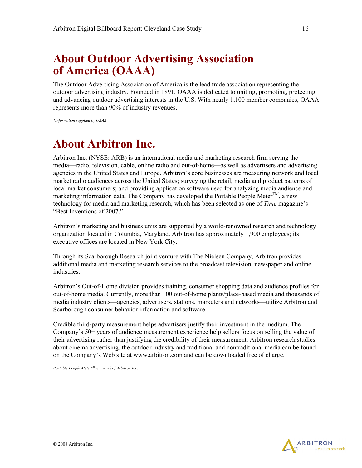# **About Outdoor Advertising Association of America (OAAA)**

The Outdoor Advertising Association of America is the lead trade association representing the outdoor advertising industry. Founded in 1891, OAAA is dedicated to uniting, promoting, protecting and advancing outdoor advertising interests in the U.S. With nearly 1,100 member companies, OAAA represents more than 90% of industry revenues.

*\*Information supplied by OAAA.* 

# **About Arbitron Inc.**

Arbitron Inc. (NYSE: ARB) is an international media and marketing research firm serving the media—radio, television, cable, online radio and out-of-home—as well as advertisers and advertising agencies in the United States and Europe. Arbitron's core businesses are measuring network and local market radio audiences across the United States; surveying the retail, media and product patterns of local market consumers; and providing application software used for analyzing media audience and marketing information data. The Company has developed the Portable People Meter $^{TM}$ , a new technology for media and marketing research, which has been selected as one of *Time* magazine's "Best Inventions of 2007."

Arbitron's marketing and business units are supported by a world-renowned research and technology organization located in Columbia, Maryland. Arbitron has approximately 1,900 employees; its executive offices are located in New York City.

Through its Scarborough Research joint venture with The Nielsen Company, Arbitron provides additional media and marketing research services to the broadcast television, newspaper and online industries.

Arbitron's Out-of-Home division provides training, consumer shopping data and audience profiles for out-of-home media. Currently, more than 100 out-of-home plants/place-based media and thousands of media industry clients—agencies, advertisers, stations, marketers and networks—utilize Arbitron and Scarborough consumer behavior information and software.

Credible third-party measurement helps advertisers justify their investment in the medium. The Company's 50+ years of audience measurement experience help sellers focus on selling the value of their advertising rather than justifying the credibility of their measurement. Arbitron research studies about cinema advertising, the outdoor industry and traditional and nontraditional media can be found on the Company's Web site at www.arbitron.com and can be downloaded free of charge.

*Portable People MeterTM is a mark of Arbitron Inc.*